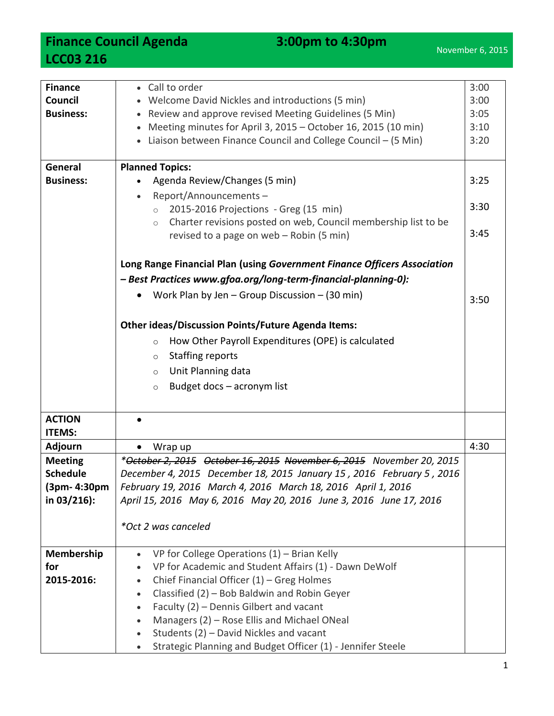**Finance Council Agenda** 3:00pm to 4:30pm **LCC03 216**

| <b>Finance</b><br>Council<br><b>Business:</b> | • Call to order<br>• Welcome David Nickles and introductions (5 min)<br>Review and approve revised Meeting Guidelines (5 Min)<br>Meeting minutes for April 3, 2015 - October 16, 2015 (10 min)<br>• Liaison between Finance Council and College Council - (5 Min) | 3:00<br>3:00<br>3:05<br>3:10<br>3:20 |  |  |
|-----------------------------------------------|-------------------------------------------------------------------------------------------------------------------------------------------------------------------------------------------------------------------------------------------------------------------|--------------------------------------|--|--|
| General                                       | <b>Planned Topics:</b>                                                                                                                                                                                                                                            |                                      |  |  |
| <b>Business:</b>                              | Agenda Review/Changes (5 min)                                                                                                                                                                                                                                     | 3:25                                 |  |  |
|                                               | Report/Announcements-<br>$\bullet$                                                                                                                                                                                                                                |                                      |  |  |
|                                               | 2015-2016 Projections - Greg (15 min)<br>$\circ$                                                                                                                                                                                                                  | 3:30                                 |  |  |
|                                               | Charter revisions posted on web, Council membership list to be<br>$\circ$<br>revised to a page on web - Robin (5 min)                                                                                                                                             | 3:45                                 |  |  |
|                                               |                                                                                                                                                                                                                                                                   |                                      |  |  |
|                                               | Long Range Financial Plan (using Government Finance Officers Association<br>- Best Practices www.gfoa.org/long-term-financial-planning-0):                                                                                                                        |                                      |  |  |
|                                               |                                                                                                                                                                                                                                                                   |                                      |  |  |
|                                               | Work Plan by Jen $-$ Group Discussion $-$ (30 min)                                                                                                                                                                                                                | 3:50                                 |  |  |
|                                               | <b>Other ideas/Discussion Points/Future Agenda Items:</b>                                                                                                                                                                                                         |                                      |  |  |
|                                               | How Other Payroll Expenditures (OPE) is calculated<br>$\circ$                                                                                                                                                                                                     |                                      |  |  |
|                                               | <b>Staffing reports</b><br>$\circ$                                                                                                                                                                                                                                |                                      |  |  |
|                                               | Unit Planning data<br>$\circ$                                                                                                                                                                                                                                     |                                      |  |  |
|                                               | Budget docs - acronym list<br>$\circ$                                                                                                                                                                                                                             |                                      |  |  |
|                                               |                                                                                                                                                                                                                                                                   |                                      |  |  |
| <b>ACTION</b>                                 |                                                                                                                                                                                                                                                                   |                                      |  |  |
| <b>ITEMS:</b>                                 |                                                                                                                                                                                                                                                                   | 4:30                                 |  |  |
| Adjourn                                       | Wrap up                                                                                                                                                                                                                                                           |                                      |  |  |
| <b>Meeting</b>                                | *October 2, 2015 October 16, 2015 November 6, 2015 November 20, 2015                                                                                                                                                                                              |                                      |  |  |
| <b>Schedule</b><br>(3pm- 4:30pm               | December 4, 2015 December 18, 2015 January 15, 2016 February 5, 2016<br>February 19, 2016 March 4, 2016 March 18, 2016 April 1, 2016                                                                                                                              |                                      |  |  |
| in 03/216):                                   | April 15, 2016 May 6, 2016 May 20, 2016 June 3, 2016 June 17, 2016                                                                                                                                                                                                |                                      |  |  |
|                                               |                                                                                                                                                                                                                                                                   |                                      |  |  |
|                                               | *Oct 2 was canceled                                                                                                                                                                                                                                               |                                      |  |  |
| <b>Membership</b>                             | VP for College Operations $(1)$ – Brian Kelly<br>$\bullet$                                                                                                                                                                                                        |                                      |  |  |
| for                                           | VP for Academic and Student Affairs (1) - Dawn DeWolf                                                                                                                                                                                                             |                                      |  |  |
| 2015-2016:                                    | Chief Financial Officer $(1)$ – Greg Holmes<br>$\bullet$                                                                                                                                                                                                          |                                      |  |  |
|                                               | Classified (2) - Bob Baldwin and Robin Geyer<br>$\bullet$                                                                                                                                                                                                         |                                      |  |  |
|                                               | Faculty (2) - Dennis Gilbert and vacant<br>$\bullet$                                                                                                                                                                                                              |                                      |  |  |
|                                               | Managers (2) - Rose Ellis and Michael ONeal<br>$\bullet$                                                                                                                                                                                                          |                                      |  |  |
|                                               | Students (2) - David Nickles and vacant<br>$\bullet$                                                                                                                                                                                                              |                                      |  |  |
|                                               | Strategic Planning and Budget Officer (1) - Jennifer Steele                                                                                                                                                                                                       |                                      |  |  |